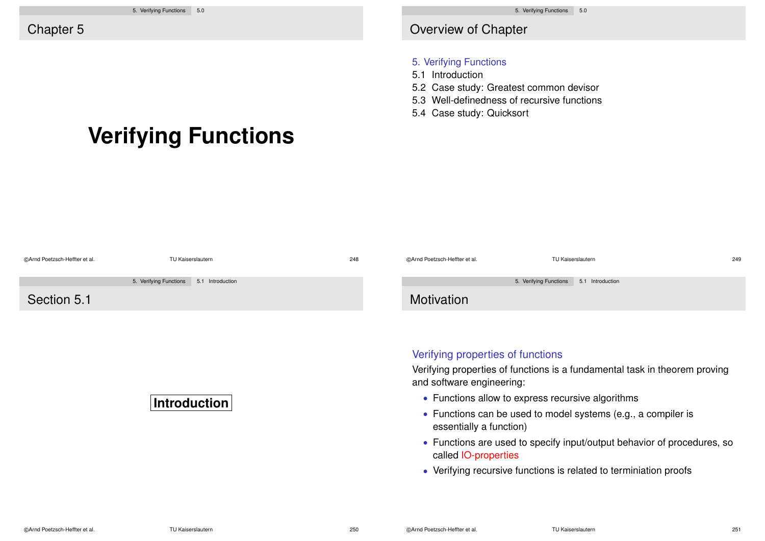**Verifying Functions**

# Overview of Chapter

#### 5. Verifying Functions

- 5.1 Introduction
- 5.2 Case study: Greatest common devisor
- 5.3 Well-definedness of recursive functions
- 5.4 Case study: Quicksort

| @Arnd Poetzsch-Heffter et al. | TU Kaiserslautern                          | 248 | @Arnd Poetzsch-Heffter et al.                                                                                   | TU Kaiserslautern                          | 249 |  |
|-------------------------------|--------------------------------------------|-----|-----------------------------------------------------------------------------------------------------------------|--------------------------------------------|-----|--|
|                               | 5. Verifying Functions<br>5.1 Introduction |     |                                                                                                                 | 5. Verifying Functions<br>5.1 Introduction |     |  |
| Section 5.1                   |                                            |     | Motivation                                                                                                      |                                            |     |  |
|                               |                                            |     |                                                                                                                 |                                            |     |  |
|                               |                                            |     |                                                                                                                 |                                            |     |  |
|                               |                                            |     | Verifying properties of functions<br>Verifying properties of functions is a fundamental task in theorem proving |                                            |     |  |
|                               |                                            |     |                                                                                                                 |                                            |     |  |
|                               |                                            |     | and software engineering:                                                                                       |                                            |     |  |

## **Introduction**

- Functions allow to express recursive algorithms
- Functions can be used to model systems (e.g., a compiler is essentially a function)
- Functions are used to specify input/output behavior of procedures, so called IO-properties
- Verifying recursive functions is related to terminiation proofs